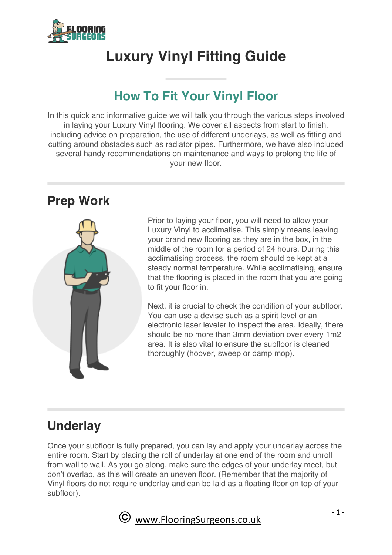

# **Luxury Vinyl Fitting Guide**

# **How To Fit Your Vinyl Floor**

In this quick and informative guide we will talk you through the various steps involved in laying your Luxury Vinyl flooring. We cover all aspects from start to finish, including advice on preparation, the use of different underlays, as well as fitting and cutting around obstacles such as radiator pipes. Furthermore, we have also included several handy recommendations on maintenance and ways to prolong the life of your new floor.

### **Prep Work**



Prior to laying your floor, you will need to allow your Luxury Vinyl to acclimatise. This simply means leaving your brand new flooring as they are in the box, in the middle of the room for a period of 24 hours. During this acclimatising process, the room should be kept at a steady normal temperature. While acclimatising, ensure that the flooring is placed in the room that you are going to fit your floor in.

Next, it is crucial to check the condition of your subfloor. You can use a devise such as a spirit level or an electronic laser leveler to inspect the area. Ideally, there should be no more than 3mm deviation over every 1m2 area. It is also vital to ensure the subfloor is cleaned thoroughly (hoover, sweep or damp mop).

### **Underlay**

Once your subfloor is fully prepared, you can lay and apply your underlay across the entire room. Start by placing the roll of underlay at one end of the room and unroll from wall to wall. As you go along, make sure the edges of your underlay meet, but don't overlap, as this will create an uneven floor. (Remember that the majority of Vinyl floors do not require underlay and can be laid as a floating floor on top of your subfloor).

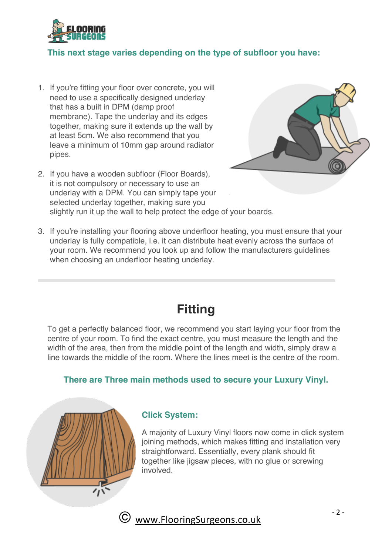

#### **This next stage varies depending on the type of subfloor you have:**

- 1. If you're fitting your floor over concrete, you will need to use a specifically designed underlay that has a built in DPM (damp proof membrane). Tape the underlay and its edges together, making sure it extends up the wall by at least 5cm. We also recommend that you leave a minimum of 10mm gap around radiator pipes.
- 2. If you have a wooden subfloor (Floor Boards), it is not compulsory or necessary to use an underlay with a DPM. You can simply tape your selected underlay together, making sure you slightly run it up the wall to help protect the edge of your boards.



3. If you're installing your flooring above underfloor heating, you must ensure that your underlay is fully compatible, i.e. it can distribute heat evenly across the surface of your room. We recommend you look up and follow the manufacturers guidelines when choosing an underfloor heating underlay.

### **Fitting**

To get a perfectly balanced floor, we recommend you start laying your floor from the centre of your room. To find the exact centre, you must measure the length and the width of the area, then from the middle point of the length and width, simply draw a line towards the middle of the room. Where the lines meet is the centre of the room.

#### **There are Three main methods used to secure your Luxury Vinyl.**



#### **Click System:**

A majority of Luxury Vinyl floors now come in click system joining methods, which makes fitting and installation very straightforward. Essentially, every plank should fit together like jigsaw pieces, with no glue or screwing involved.



www.FlooringSurgeons.co.uk <sup>2</sup>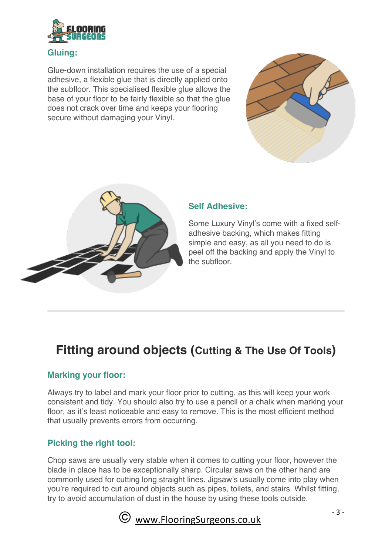

#### **Gluing:**

Glue-down installation requires the use of a special adhesive, a flexible glue that is directly applied onto the subfloor. This specialised flexible glue allows the base of your floor to be fairly flexible so that the glue does not crack over time and keeps your flooring secure without damaging your Vinyl.





#### **Self Adhesive:**

Some Luxury Vinyl's come with a fixed selfadhesive backing, which makes fitting simple and easy, as all you need to do is peel off the backing and apply the Vinyl to the subfloor.

## **Fitting around objects (Cutting & The Use Of Tools)**

#### **Marking your floor:**

Always try to label and mark your floor prior to cutting, as this will keep your work consistent and tidy. You should also try to use a pencil or a chalk when marking your floor, as it's least noticeable and easy to remove. This is the most efficient method that usually prevents errors from occurring.

#### **Picking the right tool:**

Chop saws are usually very stable when it comes to cutting your floor, however the blade in place has to be exceptionally sharp. Circular saws on the other hand are commonly used for cutting long straight lines. Jigsaw's usually come into play when you're required to cut around objects such as pipes, toilets, and stairs. Whilst fitting, try to avoid accumulation of dust in the house by using these tools outside.

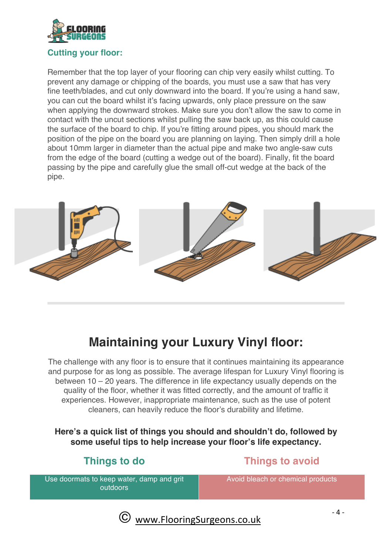

#### **Cutting your floor:**

Remember that the top layer of your flooring can chip very easily whilst cutting. To prevent any damage or chipping of the boards, you must use a saw that has very fine teeth/blades, and cut only downward into the board. If you're using a hand saw, you can cut the board whilst it's facing upwards, only place pressure on the saw when applying the downward strokes. Make sure you don't allow the saw to come in contact with the uncut sections whilst pulling the saw back up, as this could cause the surface of the board to chip. If you're fitting around pipes, you should mark the position of the pipe on the board you are planning on laying. Then simply drill a hole about 10mm larger in diameter than the actual pipe and make two angle-saw cuts from the edge of the board (cutting a wedge out of the board). Finally, fit the board passing by the pipe and carefully glue the small off-cut wedge at the back of the pipe.



### **Maintaining your Luxury Vinyl floor:**

The challenge with any floor is to ensure that it continues maintaining its appearance and purpose for as long as possible. The average lifespan for Luxury Vinyl flooring is between 10 – 20 years. The difference in life expectancy usually depends on the quality of the floor, whether it was fitted correctly, and the amount of traffic it experiences. However, inappropriate maintenance, such as the use of potent cleaners, can heavily reduce the floor's durability and lifetime.

**Here's a quick list of things you should and shouldn't do, followed by some useful tips to help increase your floor's life expectancy.**

### **Things to do Things to avoid**

Use doormats to keep water, damp and grit outdoors

Avoid bleach or chemical products

 $\odot$  www.FlooringSurgeons.co.uk  $^{-4}$